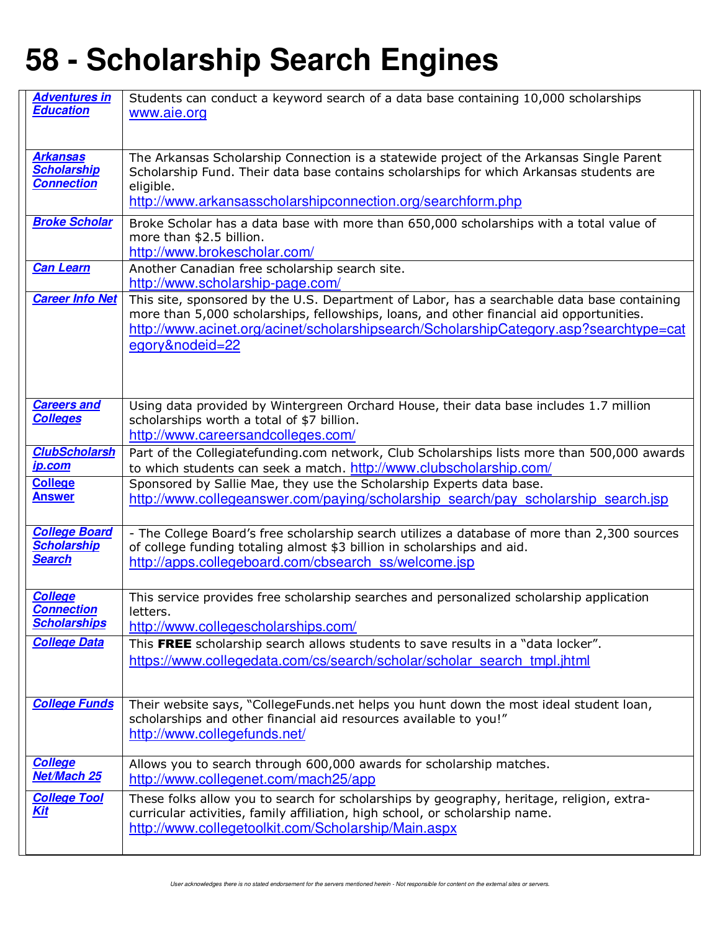| <b>Adventures in</b><br><b>Education</b> | Students can conduct a keyword search of a data base containing 10,000 scholarships<br>www.aie.org                                                                                      |
|------------------------------------------|-----------------------------------------------------------------------------------------------------------------------------------------------------------------------------------------|
|                                          |                                                                                                                                                                                         |
|                                          |                                                                                                                                                                                         |
| <b>Arkansas</b><br><b>Scholarship</b>    | The Arkansas Scholarship Connection is a statewide project of the Arkansas Single Parent<br>Scholarship Fund. Their data base contains scholarships for which Arkansas students are     |
| <b>Connection</b>                        | eligible.                                                                                                                                                                               |
|                                          | http://www.arkansasscholarshipconnection.org/searchform.php                                                                                                                             |
| <b>Broke Scholar</b>                     | Broke Scholar has a data base with more than 650,000 scholarships with a total value of<br>more than \$2.5 billion.                                                                     |
|                                          | http://www.brokescholar.com/                                                                                                                                                            |
| <b>Can Learn</b>                         | Another Canadian free scholarship search site.                                                                                                                                          |
| <b>Career Info Net</b>                   | http://www.scholarship-page.com/                                                                                                                                                        |
|                                          | This site, sponsored by the U.S. Department of Labor, has a searchable data base containing<br>more than 5,000 scholarships, fellowships, loans, and other financial aid opportunities. |
|                                          | http://www.acinet.org/acinet/scholarshipsearch/ScholarshipCategory.asp?searchtype=cat                                                                                                   |
|                                          | egory&nodeid=22                                                                                                                                                                         |
|                                          |                                                                                                                                                                                         |
|                                          |                                                                                                                                                                                         |
| <b>Careers and</b><br><b>Colleges</b>    | Using data provided by Wintergreen Orchard House, their data base includes 1.7 million<br>scholarships worth a total of \$7 billion.                                                    |
|                                          | http://www.careersandcolleges.com/                                                                                                                                                      |
| <b>ClubScholarsh</b>                     | Part of the Collegiatefunding.com network, Club Scholarships lists more than 500,000 awards                                                                                             |
| ip.com                                   | to which students can seek a match. http://www.clubscholarship.com/                                                                                                                     |
| <b>College</b><br><b>Answer</b>          | Sponsored by Sallie Mae, they use the Scholarship Experts data base.<br>http://www.collegeanswer.com/paying/scholarship search/pay scholarship search.jsp                               |
|                                          |                                                                                                                                                                                         |
| <b>College Board</b>                     | - The College Board's free scholarship search utilizes a database of more than 2,300 sources                                                                                            |
| <b>Scholarship</b><br><b>Search</b>      | of college funding totaling almost \$3 billion in scholarships and aid.<br>http://apps.collegeboard.com/cbsearch_ss/welcome.jsp                                                         |
|                                          |                                                                                                                                                                                         |
| <b>College</b>                           | This service provides free scholarship searches and personalized scholarship application                                                                                                |
| <b>Connection</b><br><b>Scholarships</b> | letters.                                                                                                                                                                                |
| <b>College Data</b>                      | http://www.collegescholarships.com/<br>This FREE scholarship search allows students to save results in a "data locker".                                                                 |
|                                          | https://www.collegedata.com/cs/search/scholar/scholar_search_tmpl.jhtml                                                                                                                 |
|                                          |                                                                                                                                                                                         |
| <b>College Funds</b>                     | Their website says, "CollegeFunds.net helps you hunt down the most ideal student loan,                                                                                                  |
|                                          | scholarships and other financial aid resources available to you!"                                                                                                                       |
|                                          | http://www.collegefunds.net/                                                                                                                                                            |
| <b>College</b>                           | Allows you to search through 600,000 awards for scholarship matches.                                                                                                                    |
| Net/Mach 25                              | http://www.collegenet.com/mach25/app                                                                                                                                                    |
| <b>College Tool</b>                      | These folks allow you to search for scholarships by geography, heritage, religion, extra-                                                                                               |
| <u>Kit</u>                               | curricular activities, family affiliation, high school, or scholarship name.<br>http://www.collegetoolkit.com/Scholarship/Main.aspx                                                     |
|                                          |                                                                                                                                                                                         |
|                                          |                                                                                                                                                                                         |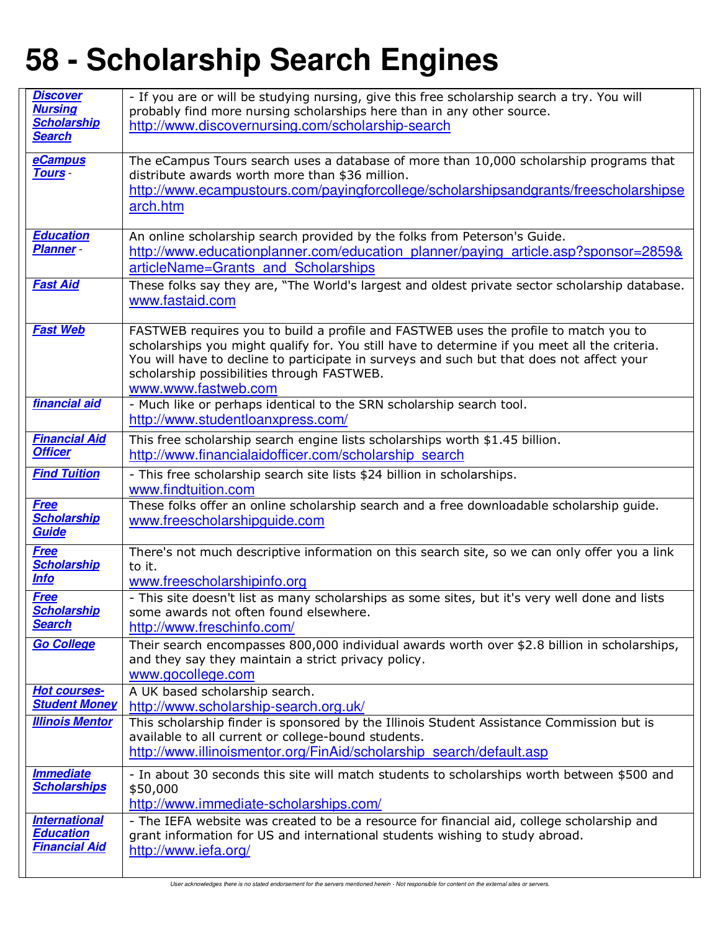| <b>Discover</b><br><b>Nursing</b>           | - If you are or will be studying nursing, give this free scholarship search a try. You will<br>probably find more nursing scholarships here than in any other source.                      |
|---------------------------------------------|--------------------------------------------------------------------------------------------------------------------------------------------------------------------------------------------|
| <b>Scholarship</b>                          | http://www.discovernursing.com/scholarship-search                                                                                                                                          |
| <b>Search</b>                               |                                                                                                                                                                                            |
| <b>eCampus</b><br><b>Tours</b>              | The eCampus Tours search uses a database of more than 10,000 scholarship programs that<br>distribute awards worth more than \$36 million.                                                  |
|                                             | http://www.ecampustours.com/payingforcollege/scholarshipsandgrants/freescholarshipse                                                                                                       |
|                                             | arch.htm                                                                                                                                                                                   |
| <b>Education</b>                            | An online scholarship search provided by the folks from Peterson's Guide.                                                                                                                  |
| Planner -                                   | http://www.educationplanner.com/education_planner/paying_article.asp?sponsor=2859&                                                                                                         |
|                                             | articleName=Grants and Scholarships                                                                                                                                                        |
| <b>Fast Aid</b>                             | These folks say they are, "The World's largest and oldest private sector scholarship database.                                                                                             |
|                                             | www.fastaid.com                                                                                                                                                                            |
| <b>Fast Web</b>                             | FASTWEB requires you to build a profile and FASTWEB uses the profile to match you to                                                                                                       |
|                                             | scholarships you might qualify for. You still have to determine if you meet all the criteria.<br>You will have to decline to participate in surveys and such but that does not affect your |
|                                             | scholarship possibilities through FASTWEB.                                                                                                                                                 |
| financial aid                               | www.www.fastweb.com<br>- Much like or perhaps identical to the SRN scholarship search tool.                                                                                                |
|                                             | http://www.studentloanxpress.com/                                                                                                                                                          |
| <b>Financial Aid</b>                        | This free scholarship search engine lists scholarships worth \$1.45 billion.                                                                                                               |
| <b>Officer</b>                              | http://www.financialaidofficer.com/scholarship search                                                                                                                                      |
| <b>Find Tuition</b>                         | - This free scholarship search site lists \$24 billion in scholarships.<br>www.findtuition.com                                                                                             |
| <b>Free</b>                                 | These folks offer an online scholarship search and a free downloadable scholarship guide.                                                                                                  |
| <b>Scholarship</b><br><b>Guide</b>          | www.freescholarshipguide.com                                                                                                                                                               |
| <b>Free</b>                                 | There's not much descriptive information on this search site, so we can only offer you a link                                                                                              |
| <b>Scholarship</b><br><u>Info</u>           | to it.                                                                                                                                                                                     |
| <b>Free</b>                                 | www.freescholarshipinfo.org<br>- This site doesn't list as many scholarships as some sites, but it's very well done and lists                                                              |
| <b>Scholarship</b>                          | some awards not often found elsewhere.                                                                                                                                                     |
| <b>Search</b>                               | http://www.freschinfo.com/                                                                                                                                                                 |
| <b>Go College</b>                           | Their search encompasses 800,000 individual awards worth over \$2.8 billion in scholarships,<br>and they say they maintain a strict privacy policy.                                        |
|                                             | www.gocollege.com                                                                                                                                                                          |
| <b>Hot courses-</b><br><b>Student Money</b> | A UK based scholarship search.                                                                                                                                                             |
| <b>Illinois Mentor</b>                      | http://www.scholarship-search.org.uk/<br>This scholarship finder is sponsored by the Illinois Student Assistance Commission but is                                                         |
|                                             | available to all current or college-bound students.                                                                                                                                        |
|                                             | http://www.illinoismentor.org/FinAid/scholarship search/default.asp                                                                                                                        |
| <b>Immediate</b><br><b>Scholarships</b>     | - In about 30 seconds this site will match students to scholarships worth between \$500 and<br>\$50,000                                                                                    |
|                                             | http://www.immediate-scholarships.com/                                                                                                                                                     |
| <b>International</b><br><b>Education</b>    | - The IEFA website was created to be a resource for financial aid, college scholarship and                                                                                                 |
| <b>Financial Aid</b>                        | grant information for US and international students wishing to study abroad.<br>http://www.iefa.org/                                                                                       |
|                                             |                                                                                                                                                                                            |

User acknowledges there is no stated endorsement for the servers mentioned herein - Not responsible for content on the external sites or servers.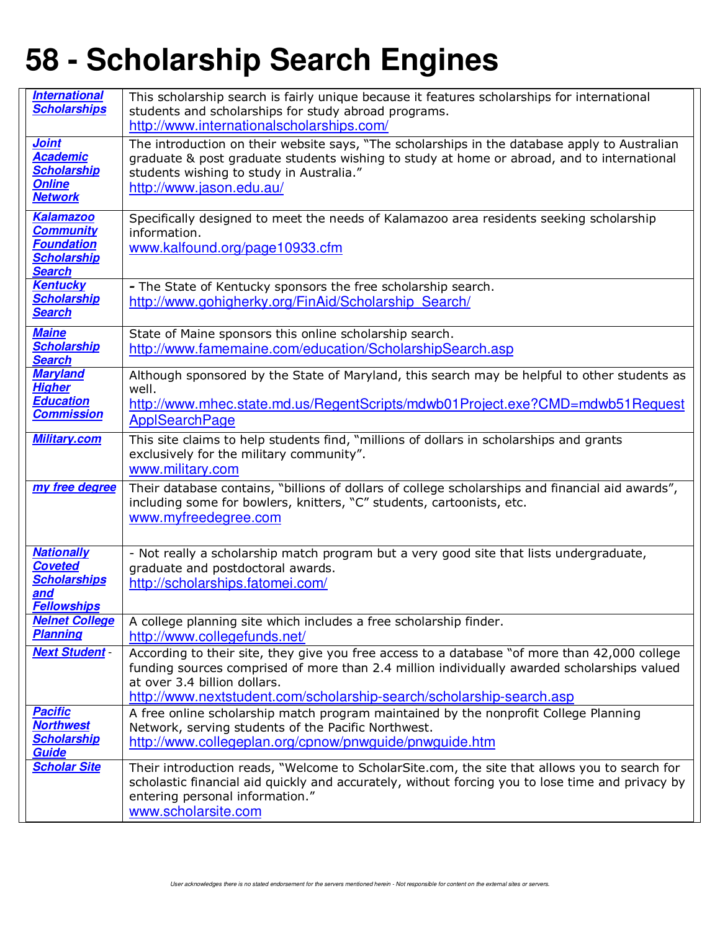| <b>International</b><br><b>Scholarships</b>                                                      | This scholarship search is fairly unique because it features scholarships for international<br>students and scholarships for study abroad programs.                                                                                                                                                  |
|--------------------------------------------------------------------------------------------------|------------------------------------------------------------------------------------------------------------------------------------------------------------------------------------------------------------------------------------------------------------------------------------------------------|
|                                                                                                  | http://www.internationalscholarships.com/                                                                                                                                                                                                                                                            |
| <b>Joint</b><br><b>Academic</b><br><b>Scholarship</b><br><b>Online</b><br><b>Network</b>         | The introduction on their website says, "The scholarships in the database apply to Australian<br>graduate & post graduate students wishing to study at home or abroad, and to international<br>students wishing to study in Australia."<br>http://www.jason.edu.au/                                  |
| <b>Kalamazoo</b><br><b>Community</b><br><b>Foundation</b><br><b>Scholarship</b><br><b>Search</b> | Specifically designed to meet the needs of Kalamazoo area residents seeking scholarship<br>information.<br>www.kalfound.org/page10933.cfm                                                                                                                                                            |
| <b>Kentucky</b><br><b>Scholarship</b><br><b>Search</b>                                           | - The State of Kentucky sponsors the free scholarship search.<br>http://www.gohigherky.org/FinAid/Scholarship Search/                                                                                                                                                                                |
| <b>Maine</b><br><b>Scholarship</b><br><b>Search</b>                                              | State of Maine sponsors this online scholarship search.<br>http://www.famemaine.com/education/ScholarshipSearch.asp                                                                                                                                                                                  |
| <b>Maryland</b><br><b>Higher</b><br><b>Education</b><br><b>Commission</b>                        | Although sponsored by the State of Maryland, this search may be helpful to other students as<br>well.<br>http://www.mhec.state.md.us/RegentScripts/mdwb01Project.exe?CMD=mdwb51Request<br><b>ApplSearchPage</b>                                                                                      |
| <b>Military.com</b>                                                                              | This site claims to help students find, "millions of dollars in scholarships and grants<br>exclusively for the military community".<br>www.military.com                                                                                                                                              |
| my free degree                                                                                   | Their database contains, "billions of dollars of college scholarships and financial aid awards",<br>including some for bowlers, knitters, "C" students, cartoonists, etc.<br>www.myfreedegree.com                                                                                                    |
| <b>Nationally</b><br><b>Coveted</b><br><b>Scholarships</b><br>and<br><b>Fellowships</b>          | - Not really a scholarship match program but a very good site that lists undergraduate,<br>graduate and postdoctoral awards.<br>http://scholarships.fatomei.com/                                                                                                                                     |
| <b>Nelnet College</b><br><b>Planning</b>                                                         | A college planning site which includes a free scholarship finder.<br>http://www.collegefunds.net/                                                                                                                                                                                                    |
| <b>Next Student -</b>                                                                            | According to their site, they give you free access to a database "of more than 42,000 college<br>funding sources comprised of more than 2.4 million individually awarded scholarships valued<br>at over 3.4 billion dollars.<br>http://www.nextstudent.com/scholarship-search/scholarship-search.asp |
| <b>Pacific</b><br><b>Northwest</b><br><b>Scholarship</b><br><b>Guide</b>                         | A free online scholarship match program maintained by the nonprofit College Planning<br>Network, serving students of the Pacific Northwest.<br>http://www.collegeplan.org/cpnow/pnwguide/pnwguide.htm                                                                                                |
| <b>Scholar Site</b>                                                                              | Their introduction reads, "Welcome to ScholarSite.com, the site that allows you to search for<br>scholastic financial aid quickly and accurately, without forcing you to lose time and privacy by<br>entering personal information."<br>www.scholarsite.com                                          |